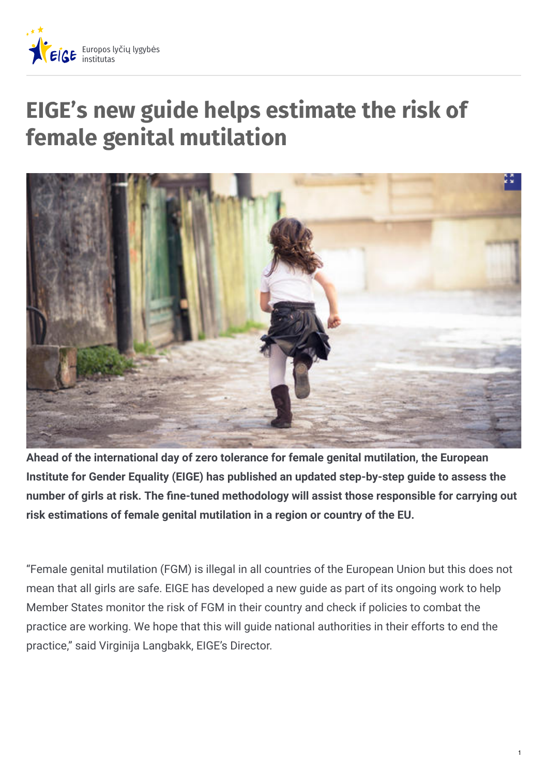

## **EIGE's new guide helps estimate the risk of female genital mutilation**



**Ahead of the international day of zero tolerance for female genital mutilation, the European Institute for Gender Equality (EIGE) has published an updated step-by-step guide to assess the number of girls at risk. The "ne-tuned methodology will assist those responsible for carrying out risk estimations of female genital mutilation in a region or country of the EU.**

"Female genital mutilation (FGM) is illegal in all countries of the European Union but this does not mean that all girls are safe. EIGE has developed a new guide as part of its ongoing work to help Member States monitor the risk of FGM in their country and check if policies to combat the practice are working. We hope that this will guide national authorities in their efforts to end the practice," said Virginija Langbakk, EIGE's Director.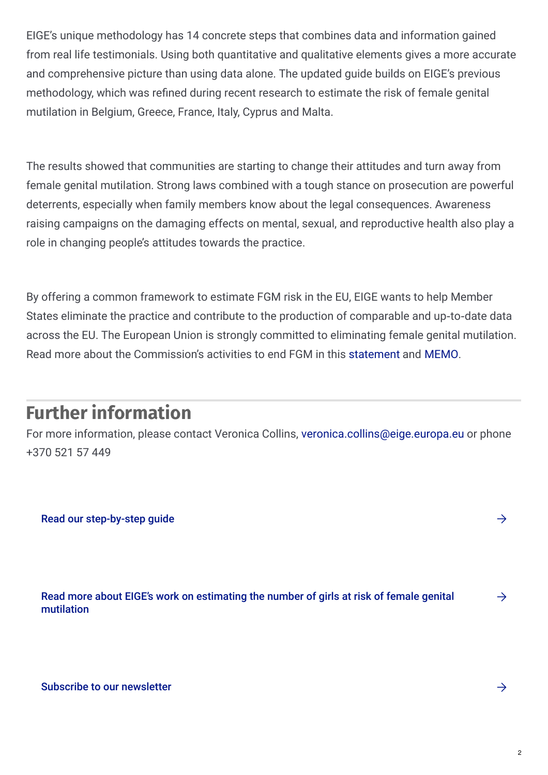EIGE's unique methodology has 14 concrete steps that combines data and information gained from real life testimonials. Using both quantitative and qualitative elements gives a more accurate and comprehensive picture than using data alone. The updated guide builds on EIGE's previous methodology, which was refined during recent research to estimate the risk of female genital mutilation in Belgium, Greece, France, Italy, Cyprus and Malta.

The results showed that communities are starting to change their attitudes and turn away from female genital mutilation. Strong laws combined with a tough stance on prosecution are powerful deterrents, especially when family members know about the legal consequences. Awareness raising campaigns on the damaging effects on mental, sexual, and reproductive health also play a role in changing people's attitudes towards the practice.

By offering a common framework to estimate FGM risk in the EU, EIGE wants to help Member States eliminate the practice and contribute to the production of comparable and up-to-date data across the EU. The European Union is strongly committed to eliminating female genital mutilation. Read more about the Commission's activities to end FGM in this [statement](http://europa.eu/rapid/press-release_STATEMENT-19-810_en.htm) and [MEMO](http://europa.eu/rapid/press-release_MEMO-19-811_en.htm).

## **Further information**

For more information, please contact Veronica Collins, [veronica.collins@eige.europa.eu](mailto:veronica.collins@eige.europa.eu) or phone +370 521 57 449

Read our [step-by-step](https://eige.europa.eu/rdc/eige-publications/estimation-girls-risk-female-genital-mutilation-european-union-step-step-guide-2nd-edition) quide  $\rightarrow$ 

Read more about EIGE's work on [estimating](https://eige.europa.eu/gender-based-violence/eiges-studies-gender-based-violence/female-genital-mutilation) the number of girls at risk of female genital mutilation  $\rightarrow$ 

Subscribe to our [newsletter](https://eige.europa.eu/news-and-events/eige-newsletter)  $\rightarrow$